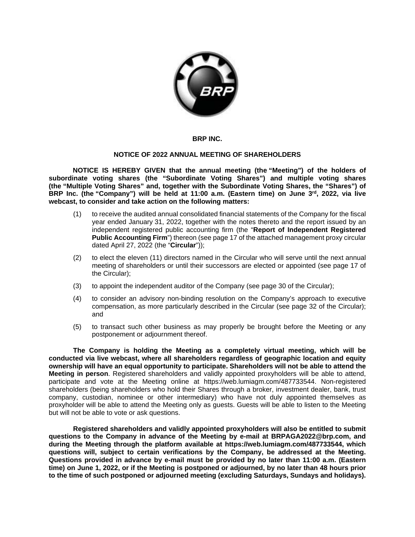

## **BRP INC.**

## **NOTICE OF 2022 ANNUAL MEETING OF SHAREHOLDERS**

**NOTICE IS HEREBY GIVEN that the annual meeting (the "Meeting") of the holders of subordinate voting shares (the "Subordinate Voting Shares") and multiple voting shares (the "Multiple Voting Shares" and, together with the Subordinate Voting Shares, the "Shares") of BRP Inc. (the "Company") will be held at 11:00 a.m. (Eastern time) on June 3rd, 2022, via live webcast, to consider and take action on the following matters:** 

- (1) to receive the audited annual consolidated financial statements of the Company for the fiscal year ended January 31, 2022, together with the notes thereto and the report issued by an independent registered public accounting firm (the "**Report of Independent Registered Public Accounting Firm**") thereon (see page 17 of the attached management proxy circular dated April 27, 2022 (the "**Circular**"));
- (2) to elect the eleven (11) directors named in the Circular who will serve until the next annual meeting of shareholders or until their successors are elected or appointed (see page 17 of the Circular);
- (3) to appoint the independent auditor of the Company (see page 30 of the Circular);
- (4) to consider an advisory non-binding resolution on the Company's approach to executive compensation, as more particularly described in the Circular (see page 32 of the Circular); and
- (5) to transact such other business as may properly be brought before the Meeting or any postponement or adjournment thereof.

**The Company is holding the Meeting as a completely virtual meeting, which will be conducted via live webcast, where all shareholders regardless of geographic location and equity ownership will have an equal opportunity to participate. Shareholders will not be able to attend the Meeting in person**. Registered shareholders and validly appointed proxyholders will be able to attend, participate and vote at the Meeting online at [https://web.lumiagm.com/487733544.](https://web.lumiagm.com/487733544) Non-registered shareholders (being shareholders who hold their Shares through a broker, investment dealer, bank, trust company, custodian, nominee or other intermediary) who have not duly appointed themselves as proxyholder will be able to attend the Meeting only as guests. Guests will be able to listen to the Meeting but will not be able to vote or ask questions.

**Registered shareholders and validly appointed proxyholders will also be entitled to submit questions to the Company in advance of the Meeting by e-mail at [BRPAGA2022@brp.com,](mailto:BRPAGA2022@brp.com) and during the Meeting through the platform available at [https://web.lumiagm.com/487733544,](https://web.lumiagm.com/487733544) which questions will, subject to certain verifications by the Company, be addressed at the Meeting. Questions provided in advance by e-mail must be provided by no later than 11:00 a.m. (Eastern time) on June 1, 2022, or if the Meeting is postponed or adjourned, by no later than 48 hours prior to the time of such postponed or adjourned meeting (excluding Saturdays, Sundays and holidays).**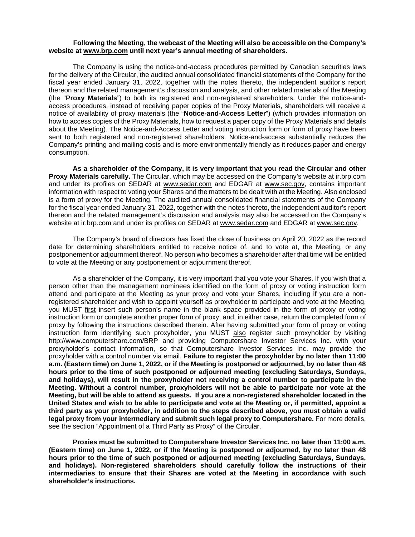## **Following the Meeting, the webcast of the Meeting will also be accessible on the Company's website at [www.brp.com](http://www.brp.com/) until next year's annual meeting of shareholders.**

The Company is using the notice-and-access procedures permitted by Canadian securities laws for the delivery of the Circular, the audited annual consolidated financial statements of the Company for the fiscal year ended January 31, 2022, together with the notes thereto, the independent auditor's report thereon and the related management's discussion and analysis, and other related materials of the Meeting (the "**Proxy Materials**") to both its registered and non-registered shareholders. Under the notice-andaccess procedures, instead of receiving paper copies of the Proxy Materials, shareholders will receive a notice of availability of proxy materials (the "**Notice-and-Access Letter**") (which provides information on how to access copies of the Proxy Materials, how to request a paper copy of the Proxy Materials and details about the Meeting). The Notice-and-Access Letter and voting instruction form or form of proxy have been sent to both registered and non-registered shareholders. Notice-and-access substantially reduces the Company's printing and mailing costs and is more environmentally friendly as it reduces paper and energy consumption.

**As a shareholder of the Company, it is very important that you read the Circular and other Proxy Materials carefully.** The Circular, which may be accessed on the Company's website at ir.brp.com and under its profiles on SEDAR at [www.sedar.com](https://www.sedar.com/) and EDGAR at [www.sec.gov,](https://www.sec.gov/) contains important information with respect to voting your Shares and the matters to be dealt with at the Meeting. Also enclosed is a form of proxy for the Meeting. The audited annual consolidated financial statements of the Company for the fiscal year ended January 31, 2022, together with the notes thereto, the independent auditor's report thereon and the related management's discussion and analysis may also be accessed on the Company's website at ir.brp.com and under its profiles on SEDAR at [www.sedar.com](https://www.sedar.com/) and EDGAR a[t www.sec.gov.](https://www.sec.gov/)

The Company's board of directors has fixed the close of business on April 20, 2022 as the record date for determining shareholders entitled to receive notice of, and to vote at, the Meeting, or any postponement or adjournment thereof. No person who becomes a shareholder after that time will be entitled to vote at the Meeting or any postponement or adjournment thereof.

As a shareholder of the Company, it is very important that you vote your Shares. If you wish that a person other than the management nominees identified on the form of proxy or voting instruction form attend and participate at the Meeting as your proxy and vote your Shares, including if you are a nonregistered shareholder and wish to appoint yourself as proxyholder to participate and vote at the Meeting, you MUST first insert such person's name in the blank space provided in the form of proxy or voting instruction form or complete another proper form of proxy, and, in either case, return the completed form of proxy by following the instructions described therein. After having submitted your form of proxy or voting instruction form identifying such proxyholder, you MUST also register such proxyholder by visiting http://www.computershare.com/BRP and providing Computershare Investor Services Inc. with your proxyholder's contact information, so that Computershare Investor Services Inc. may provide the proxyholder with a control number via email. **Failure to register the proxyholder by no later than 11:00 a.m. (Eastern time) on June 1, 2022, or if the Meeting is postponed or adjourned, by no later than 48 hours prior to the time of such postponed or adjourned meeting (excluding Saturdays, Sundays, and holidays), will result in the proxyholder not receiving a control number to participate in the Meeting. Without a control number, proxyholders will not be able to participate nor vote at the Meeting, but will be able to attend as guests. If you are a non-registered shareholder located in the United States and wish to be able to participate and vote at the Meeting or, if permitted, appoint a third party as your proxyholder, in addition to the steps described above, you must obtain a valid legal proxy from your intermediary and submit such legal proxy to Computershare.** For more details, see the section "Appointment of a Third Party as Proxy" of the Circular.

**Proxies must be submitted to Computershare Investor Services Inc. no later than 11:00 a.m. (Eastern time) on June 1, 2022, or if the Meeting is postponed or adjourned, by no later than 48 hours prior to the time of such postponed or adjourned meeting (excluding Saturdays, Sundays, and holidays). Non-registered shareholders should carefully follow the instructions of their intermediaries to ensure that their Shares are voted at the Meeting in accordance with such shareholder's instructions.**